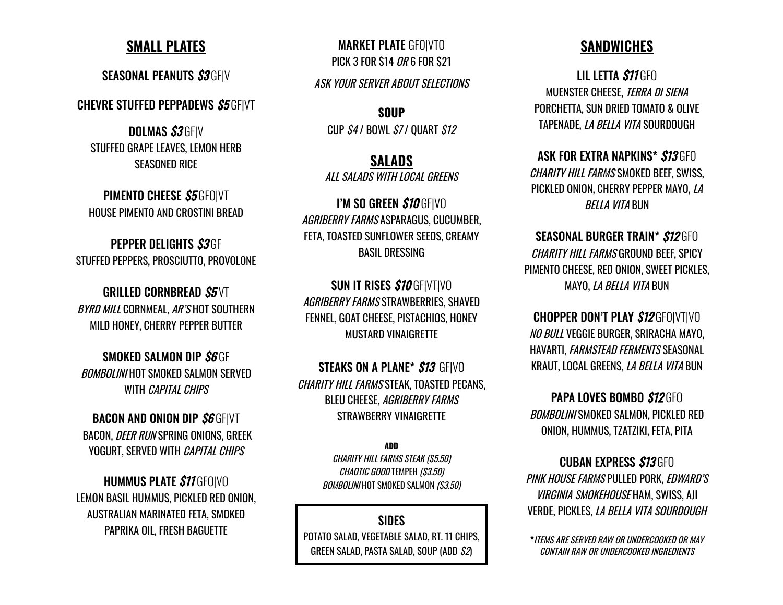## **SMALL PLATES**

SEASONAL PEANUTS \$3GFIV

**CHEVRE STUFFED PEPPADEWS S5 GFIVT** 

**DOLMAS S3GFIV** STUFFED GRAPE LEAVES, LEMON HERB SEASONED RICE

PIMENTO CHEESE \$5 GFO|VT HOUSE PIMENTO AND CROSTINI BREAD

PEPPER DELIGHTS S3GF STUFFED PEPPERS, PROSCIUTTO, PROVOLONE

GRILLED CORNBREAD S5VT BYRD MILL CORNMEAL, AR'S HOT SOUTHERN MILD HONEY, CHERRY PEPPER BUTTER

SMOKED SALMON DIP S6 GF BOMBOLINI HOT SMOKED SALMON SERVED WITH *CAPITAL CHIPS* 

**BACON AND ONION DIP S6 GFIVT** BACON, DEER RUN SPRING ONIONS, GREEK YOGURT, SERVED WITH CAPITAL CHIPS

**HUMMUS PLATE \$11 GFOIVO** LEMON BASIL HUMMUS, PICKLED RED ONION, AUSTRALIAN MARINATED FETA, SMOKED PAPRIKA OIL, FRESH BAGUETTE

MARKET PLATE GFO|VTO PICK 3 FOR \$14 OR 6 FOR \$21

ASK YOUR SERVER ABOUT SELECTIONS

**SOUP** CUP  $S4$  / BOWL  $S7$  / OUART  $S12$ 

**SALADS**

ALL SALADS WITH LOCAL GREENS

I'M SO GREEN \$10 GFIVO AGRIBERRY FARMS ASPARAGUS, CUCUMBER, FETA, TOASTED SUNFLOWER SEEDS, CREAMY BASIL DRESSING

SUN IT RISES \$10 GF|VT|VO AGRIBERRY FARMS STRAWBERRIES, SHAVED FENNEL, GOAT CHEESE, PISTACHIOS, HONEY MUSTARD VINAIGRETTE

**STEAKS ON A PLANE\* \$13 GFIVO** CHARITY HILL FARMS STEAK, TOASTED PECANS, BLEU CHEESE, AGRIBERRY FARMS STRAWBERRY VINAIGRETTE

> **ADD** CHARITY HILL FARMS STEAK (\$5.50) CHAOTIC GOOD TEMPEH (\$3.50) BOMBOLINI HOT SMOKED SALMON (\$3.50)

## **SIDES**

POTATO SALAD, VEGETABLE SALAD, RT. 11 CHIPS, GREEN SALAD, PASTA SALAD, SOUP (ADD \$2)

## **SANDWICHES**

LIL LETTA **\$11** GFO MUENSTER CHEESE, TERRA DI SIENA PORCHETTA, SUN DRIED TOMATO & OLIVE TAPENADE, LA BELLA VITA SOURDOUGH

ASK FOR EXTRA NAPKINS\* \$13 GFO CHARITY HILL FARMS SMOKED BEEF, SWISS, PICKLED ONION, CHERRY PEPPER MAYO, LA BELLA VITA BUN

SEASONAL BURGER TRAIN\* \$12 GFO CHARITY HILL FARMS GROUND BEEF, SPICY PIMENTO CHEESE, RED ONION, SWEET PICKLES, MAYO, LA BELLA VITA BUN

CHOPPER DON'T PLAY \$12 GFO|VT|VO NO BULL VEGGIE BURGER, SRIRACHA MAYO, HAVARTI, FARMSTEAD FERMENTS SEASONAL KRAUT, LOCAL GREENS, LA BELLA VITA BUN

PAPA LOVES BOMBO \$12GFO BOMBOLINI SMOKED SALMON, PICKLED RED ONION, HUMMUS, TZATZIKI, FETA, PITA

CUBAN EXPRESS \$13GFO PINK HOUSE FARMS PULLED PORK, EDWARD'S VIRGINIA SMOKEHOUSE HAM, SWISS, AJI VERDE, PICKLES, LA BELLA VITA SOURDOUGH

**\***ITEMS ARE SERVED RAW OR UNDERCOOKED OR MAY CONTAIN RAW OR UNDERCOOKED INGREDIENTS